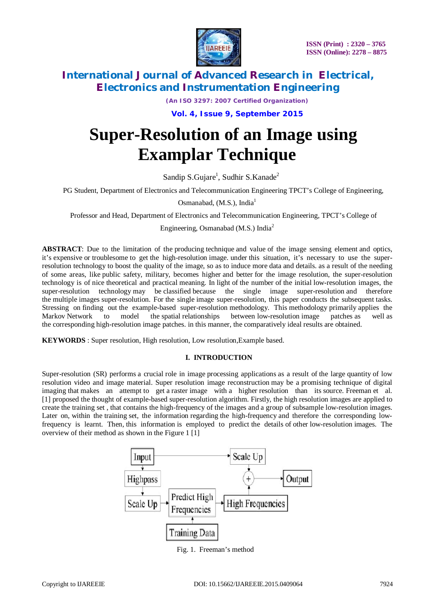

*(An ISO 3297: 2007 Certified Organization)*

**Vol. 4, Issue 9, September 2015**

# **Super-Resolution of an Image using Examplar Technique**

Sandip S.Gujare<sup>1</sup>, Sudhir S.Kanade<sup>2</sup>

PG Student, Department of Electronics and Telecommunication Engineering TPCT's College of Engineering,

Osmanabad, (M.S.), India<sup>1</sup>

Professor and Head, Department of Electronics and Telecommunication Engineering, TPCT's College of

Engineering, Osmanabad (M.S.) India<sup>2</sup>

**ABSTRACT**: Due to the limitation of the producing technique and value of the image sensing element and optics, it's expensive or troublesome to get the high-resolution image. under this situation, it's necessary to use the superresolution technology to boost the quality of the image, so as to induce more data and details. as a result of the needing of some areas, like public safety, military, becomes higher and better for the image resolution, the super-resolution technology is of nice theoretical and practical meaning. In light of the number of the initial low-resolution images, the super-resolution technology may be classified because the single image super-resolution and therefore the multiple images super-resolution. For the single image super-resolution, this paper conducts the subsequent tasks. Stressing on finding out the example-based super-resolution methodology. This methodology primarily applies the Markov Network to model the spatial relationships between low-resolution image patches as well as the corresponding high-resolution image patches. in this manner, the comparatively ideal results are obtained.

**KEYWORDS** : Super resolution, High resolution, Low resolution,Example based.

### **I. INTRODUCTION**

Super-resolution (SR) performs a crucial role in image processing applications as a result of the large quantity of low resolution video and image material. Super resolution image reconstruction may be a promising technique of digital imaging that makes an attempt to get a raster image with a higher resolution than its source. Freeman et al. [1] proposed the thought of example-based super-resolution algorithm. Firstly, the high resolution images are applied to create the training set , that contains the high-frequency of the images and a group of subsample low-resolution images. Later on, within the training set, the information regarding the high-frequency and therefore the corresponding lowfrequency is learnt. Then, this information is employed to predict the details of other low-resolution images. The overview of their method as shown in the Figure 1 [1]



Fig. 1. Freeman's method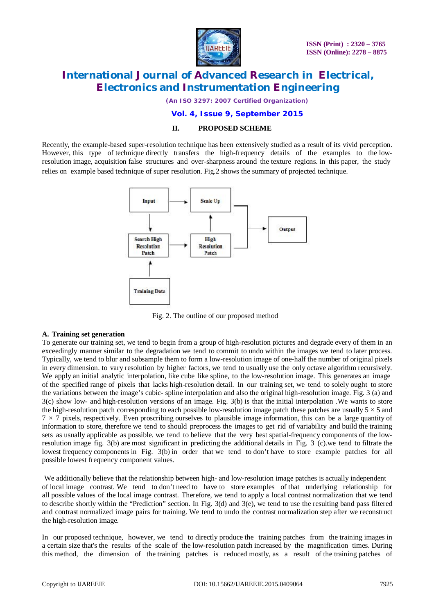

*(An ISO 3297: 2007 Certified Organization)*

### **Vol. 4, Issue 9, September 2015**

### **II. PROPOSED SCHEME**

Recently, the example-based super-resolution technique has been extensively studied as a result of its vivid perception. However, this type of technique directly transfers the high-frequency details of the examples to the lowresolution image, acquisition false structures and over-sharpness around the texture regions. in this paper, the study relies on example based technique of super resolution. Fig.2 shows the summary of projected technique.



Fig. 2. The outline of our proposed method

### **A. Training set generation**

To generate our training set, we tend to begin from a group of high-resolution pictures and degrade every of them in an exceedingly manner similar to the degradation we tend to commit to undo within the images we tend to later process. Typically, we tend to blur and subsample them to form a low-resolution image of one-half the number of original pixels in every dimension. to vary resolution by higher factors, we tend to usually use the only octave algorithm recursively. We apply an initial analytic interpolation, like cube like spline, to the low-resolution image. This generates an image of the specified range of pixels that lacks high-resolution detail. In our training set, we tend to solely ought to store the variations between the image's cubic- spline interpolation and also the original high-resolution image. Fig. 3 (a) and 3(c) show low- and high-resolution versions of an image. Fig. 3(b) is that the initial interpolation .We wants to store the high-resolution patch corresponding to each possible low-resolution image patch these patches are usually  $5 \times 5$  and  $7 \times 7$  pixels, respectively. Even proscribing ourselves to plausible image information, this can be a large quantity of information to store, therefore we tend to should preprocess the images to get rid of variability and build the training sets as usually applicable as possible. we tend to believe that the very best spatial-frequency components of the lowresolution image fig. 3(b) are most significant in predicting the additional details in Fig. 3 (c).we tend to filtrate the lowest frequency components in Fig. 3(b) in order that we tend to don't have to store example patches for all possible lowest frequency component values.

We additionally believe that the relationship between high- and low-resolution image patches is actually independent of local image contrast. We tend to don't need to have to store examples of that underlying relationship for all possible values of the local image contrast. Therefore, we tend to apply a local contrast normalization that we tend to describe shortly within the "Prediction" section. In Fig.  $3(d)$  and  $3(e)$ , we tend to use the resulting band pass filtered and contrast normalized image pairs for training. We tend to undo the contrast normalization step after we reconstruct the high-resolution image.

In our proposed technique, however, we tend to directly produce the training patches from the training images in a certain size that's the results of the scale of the low-resolution patch increased by the magnification times. During this method, the dimension of the training patches is reduced mostly, as a result of the training patches of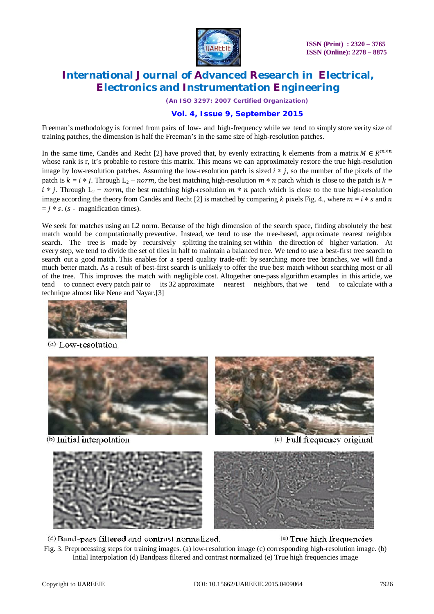

**ISSN (Print) : 2320 – 3765 ISSN (Online): 2278 – 8875**

# **International Journal of Advanced Research in Electrical, Electronics and Instrumentation Engineering**

*(An ISO 3297: 2007 Certified Organization)*

### **Vol. 4, Issue 9, September 2015**

Freeman's methodology is formed from pairs of low- and high-frequency while we tend to simply store verity size of training patches, the dimension is half the Freeman's in the same size of high-resolution patches.

In the same time, Candès and Recht [2] have proved that, by evenly extracting k elements from a matrix  $M \in R^{m \times n}$ whose rank is r, it's probable to restore this matrix. This means we can approximately restore the true high-resolution image by low-resolution patches. Assuming the low-resolution patch is sized  $i * j$ , so the number of the pixels of the patch is  $k = i * j$ . Through  $L_2$  – norm, the best matching high-resolution  $m * n$  patch which is close to the patch is  $k =$  $i * j$ . Through  $L_2$  – norm, the best matching high-resolution  $m * n$  patch which is close to the true high-resolution image according the theory from Candès and Recht [2] is matched by comparing k pixels Fig. 4., where  $m = i * s$  and  $n$  $= i * s$ . (s - magnification times).

We seek for matches using an L2 norm. Because of the high dimension of the search space, finding absolutely the best match would be computationally preventive. Instead, we tend to use the tree-based, approximate nearest neighbor search. The tree is made by recursively splitting the training set within the direction of higher variation. At every step, we tend to divide the set of tiles in half to maintain a balanced tree. We tend to use a best-first tree search to search out a good match. This enables for a speed quality trade-off: by searching more tree branches, we will find a much better match. As a result of best-first search is unlikely to offer the true best match without searching most or all of the tree. This improves the match with negligible cost. Altogether one-pass algorithm examples in this article, we tend to connect every patch pair to its 32 approximate nearest neighbors, that we tend to calculate with a technique almost like Nene and Nayar.[3]



(a) Low-resolution



(b) Initial interpolation



(c) Full frequency original





(d) Band-pass filtered and contrast normalized.

### (e) True high frequencies

Fig. 3. Preprocessing steps for training images. (a) low-resolution image (c) corresponding high-resolution image. (b) Intial Interpolation (d) Bandpass filtered and contrast normalized (e) True high frequencies image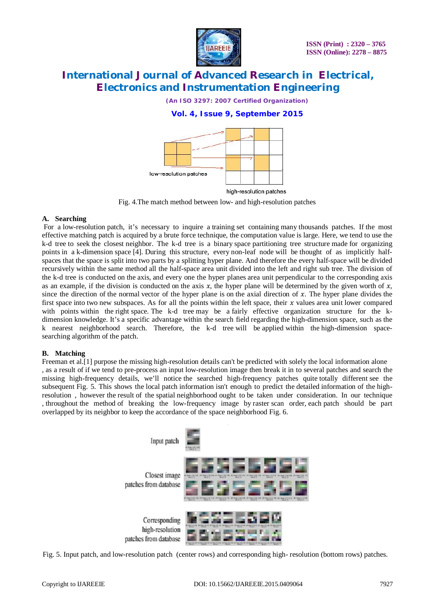

*(An ISO 3297: 2007 Certified Organization)*

### **Vol. 4, Issue 9, September 2015**



Fig. 4.The match method between low- and high-resolution patches

### **A. Searching**

For a low-resolution patch, it's necessary to inquire a training set containing many thousands patches. If the most effective matching patch is acquired by a brute force technique, the computation value is large. Here, we tend to use the k-d tree to seek the closest neighbor. The k-d tree is a binary space partitioning tree structure made for organizing points in a k-dimension space [4]. During this structure, every non-leaf node will be thought of as implicitly halfspaces that the space is split into two parts by a splitting hyper plane. And therefore the every half-space will be divided recursively within the same method all the half-space area unit divided into the left and right sub tree. The division of the k-d tree is conducted on the axis, and every one the hyper planes area unit perpendicular to the corresponding axis as an example, if the division is conducted on the axis  $x$ , the hyper plane will be determined by the given worth of  $x$ , since the direction of the normal vector of the hyper plane is on the axial direction of  $x$ . The hyper plane divides the first space into two new subspaces. As for all the points within the left space, their  $x$  values area unit lower compared with points within the right space. The k-d tree may be a fairly effective organization structure for the kdimension knowledge. It's a specific advantage within the search field regarding the high-dimension space, such as the k nearest neighborhood search. Therefore, the k-d tree will be applied within the high-dimension spacesearching algorithm of the patch.

### **B. Matching**

Freeman et al.[1] purpose the missing high-resolution details can't be predicted with solely the local information alone , as a result of if we tend to pre-process an input low-resolution image then break it in to several patches and search the missing high-frequency details, we'll notice the searched high-frequency patches quite totally different see the subsequent Fig. 5. This shows the local patch information isn't enough to predict the detailed information of the highresolution , however the result of the spatial neighborhood ought to be taken under consideration. In our technique , throughout the method of breaking the low-frequency image by raster scan order, each patch should be part overlapped by its neighbor to keep the accordance of the space neighborhood Fig. 6.



Fig. 5. Input patch, and low-resolution patch (center rows) and corresponding high- resolution (bottom rows) patches.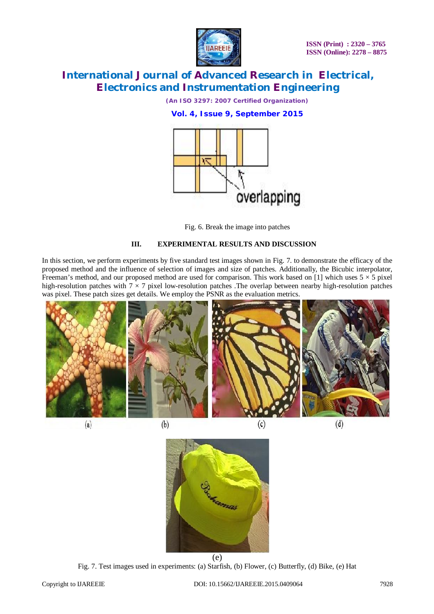

*(An ISO 3297: 2007 Certified Organization)* **Vol. 4, Issue 9, September 2015**



Fig. 6. Break the image into patches

### **III. EXPERIMENTAL RESULTS AND DISCUSSION**

In this section, we perform experiments by five standard test images shown in Fig. 7. to demonstrate the efficacy of the proposed method and the influence of selection of images and size of patches. Additionally, the Bicubic interpolator, Freeman's method, and our proposed method are used for comparison. This work based on [1] which uses  $5 \times 5$  pixel high-resolution patches with  $7 \times 7$  pixel low-resolution patches. The overlap between nearby high-resolution patches was pixel. These patch sizes get details. We employ the PSNR as the evaluation metrics.



 $(a)$ 

 $(c)$ 

 $(d)$ 



Fig. 7. Test images used in experiments: (a) Starfish, (b) Flower, (c) Butterfly, (d) Bike, (e) Hat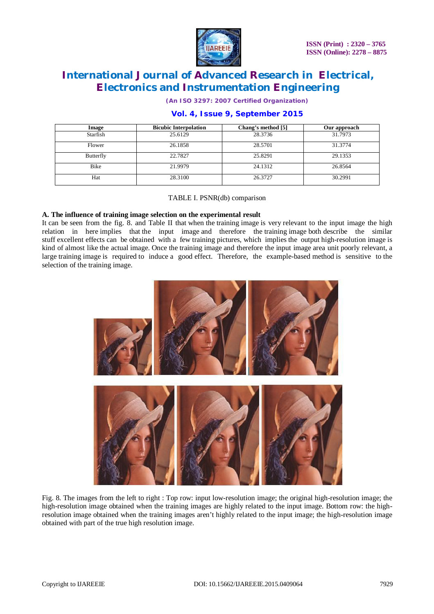

*(An ISO 3297: 2007 Certified Organization)*

| Image     | <b>Bicubic Interpolation</b> | Chang's method [5] | Our approach |
|-----------|------------------------------|--------------------|--------------|
| Starfish  | 25.6129                      | 28.3736            | 31.7973      |
| Flower    | 26.1858                      | 28.5701            | 31.3774      |
| Butterfly | 22.7827                      | 25.8291            | 29.1353      |
| Bike      | 21.9979                      | 24.1312            | 26.8564      |
| Hat       | 28.3100                      | 26.3727            | 30.2991      |

## **Vol. 4, Issue 9, September 2015**

### TABLE I. PSNR(db) comparison

### **A. The influence of training image selection on the experimental result**

It can be seen from the fig. 8. and Table II that when the training image is very relevant to the input image the high relation in here implies that the input image and therefore the training image both describe the similar stuff excellent effects can be obtained with a few training pictures, which implies the output high-resolution image is kind of almost like the actual image. Once the training image and therefore the input image area unit poorly relevant, a large training image is required to induce a good effect. Therefore, the example-based method is sensitive to the selection of the training image.



Fig. 8. The images from the left to right : Top row: input low-resolution image; the original high-resolution image; the high-resolution image obtained when the training images are highly related to the input image. Bottom row: the highresolution image obtained when the training images aren't highly related to the input image; the high-resolution image obtained with part of the true high resolution image.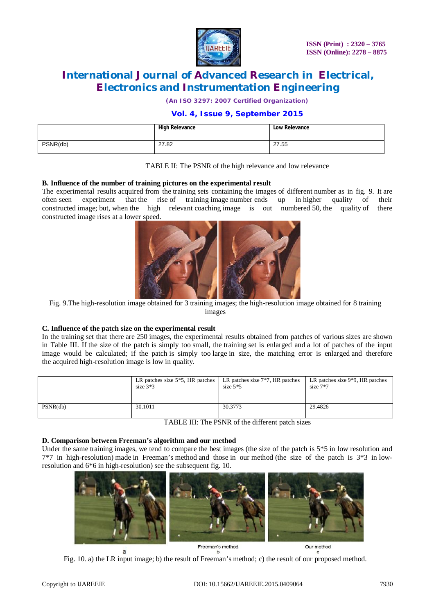

*(An ISO 3297: 2007 Certified Organization)*

### **Vol. 4, Issue 9, September 2015**

|          | <b>High Relevance</b> | <b>Low Relevance</b> |
|----------|-----------------------|----------------------|
| PSNR(db) | 27.82                 | 27.55                |

#### TABLE II: The PSNR of the high relevance and low relevance

#### **B. Influence of the number of training pictures on the experimental result**

The experimental results acquired from the training sets containing the images of different number as in fig. 9. It are often seen experiment that the rise of training image number ends up in higher quality of their constructed image; but, when the high relevant coaching image is out numbered 50, the quality of there constructed image rises at a lower speed.



Fig. 9.The high-resolution image obtained for 3 training images; the high-resolution image obtained for 8 training images

#### **C. Influence of the patch size on the experimental result**

In the training set that there are 250 images, the experimental results obtained from patches of various sizes are shown in Table III. If the size of the patch is simply too small, the training set is enlarged and a lot of patches of the input image would be calculated; if the patch is simply too large in size, the matching error is enlarged and therefore the acquired high-resolution image is low in quality.

|          | LR patches size $5*5$ , HR patches | LR patches size 7 <sup>*7</sup> , HR patches | LR patches size 9 <sup>*9</sup> , HR patches |
|----------|------------------------------------|----------------------------------------------|----------------------------------------------|
|          | size $3*3$                         | size $5*5$                                   | size $7*7$                                   |
| PSNR(db) | 30.1011                            | 30.3773                                      | 29.4826                                      |

TABLE III: The PSNR of the different patch sizes

#### **D. Comparison between Freeman's algorithm and our method**

Under the same training images, we tend to compare the best images (the size of the patch is  $5*5$  in low resolution and 7\*7 in high-resolution) made in Freeman's method and those in our method (the size of the patch is 3\*3 in lowresolution and 6\*6 in high-resolution) see the subsequent fig. 10.



Fig. 10. a) the LR input image; b) the result of Freeman's method; c) the result of our proposed method.